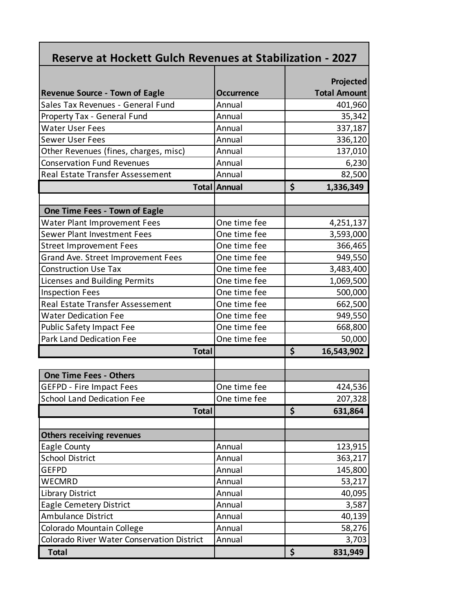| <b>Reserve at Hockett Gulch Revenues at Stabilization - 2027</b> |                     |                                  |
|------------------------------------------------------------------|---------------------|----------------------------------|
| <b>Revenue Source - Town of Eagle</b>                            | <b>Occurrence</b>   | Projected<br><b>Total Amount</b> |
| Sales Tax Revenues - General Fund                                | Annual              | 401,960                          |
| Property Tax - General Fund                                      | Annual              | 35,342                           |
| <b>Water User Fees</b>                                           | Annual              | 337,187                          |
| <b>Sewer User Fees</b>                                           | Annual              | 336,120                          |
| Other Revenues (fines, charges, misc)                            | Annual              | 137,010                          |
| <b>Conservation Fund Revenues</b>                                | Annual              | 6,230                            |
| Real Estate Transfer Assessement                                 | Annual              | 82,500                           |
|                                                                  | <b>Total Annual</b> | \$<br>1,336,349                  |
|                                                                  |                     |                                  |
| One Time Fees - Town of Eagle                                    |                     |                                  |
| <b>Water Plant Improvement Fees</b>                              | One time fee        | 4,251,137                        |
| Sewer Plant Investment Fees                                      | One time fee        | 3,593,000                        |
| <b>Street Improvement Fees</b>                                   | One time fee        | 366,465                          |
| Grand Ave. Street Improvement Fees                               | One time fee        | 949,550                          |
| <b>Construction Use Tax</b>                                      | One time fee        | 3,483,400                        |
| Licenses and Building Permits                                    | One time fee        | 1,069,500                        |
| <b>Inspection Fees</b>                                           | One time fee        | 500,000                          |
| Real Estate Transfer Assessement                                 | One time fee        | 662,500                          |
| <b>Water Dedication Fee</b>                                      | One time fee        | 949,550                          |
| <b>Public Safety Impact Fee</b>                                  | One time fee        | 668,800                          |
| Park Land Dedication Fee                                         | One time fee        | 50,000                           |
| <b>Total</b>                                                     |                     | \$<br>16,543,902                 |
|                                                                  |                     |                                  |
| <b>One Time Fees - Others</b>                                    |                     |                                  |
| <b>GEFPD - Fire Impact Fees</b>                                  | One time fee        | 424,536                          |
| School Land Dedication Fee                                       | One time fee        | 207,328                          |
| <b>Total</b>                                                     |                     | \$<br>631,864                    |
| <b>Others receiving revenues</b>                                 |                     |                                  |
| Eagle County                                                     | Annual              | 123,915                          |
| <b>School District</b>                                           | Annual              | 363,217                          |
| <b>GEFPD</b>                                                     | Annual              | 145,800                          |
| WECMRD                                                           | Annual              |                                  |
| <b>Library District</b>                                          | Annual              | 53,217<br>40,095                 |
| <b>Eagle Cemetery District</b>                                   | Annual              |                                  |
| <b>Ambulance District</b>                                        | Annual              | 3,587<br>40,139                  |
| Colorado Mountain College                                        | Annual              | 58,276                           |
| Colorado River Water Conservation District                       | Annual              | 3,703                            |
| <b>Total</b>                                                     |                     | \$<br>831,949                    |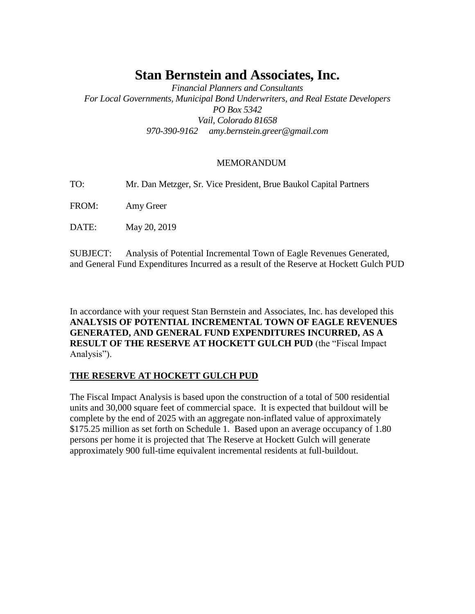# **Stan Bernstein and Associates, Inc.**

*Financial Planners and Consultants For Local Governments, Municipal Bond Underwriters, and Real Estate Developers PO Box 5342 Vail, Colorado 81658 970-390-9162 amy.bernstein.greer@gmail.com*

### MEMORANDUM

TO: Mr. Dan Metzger, Sr. Vice President, Brue Baukol Capital Partners

FROM: Amy Greer

DATE: May 20, 2019

SUBJECT: Analysis of Potential Incremental Town of Eagle Revenues Generated, and General Fund Expenditures Incurred as a result of the Reserve at Hockett Gulch PUD

In accordance with your request Stan Bernstein and Associates, Inc. has developed this **ANALYSIS OF POTENTIAL INCREMENTAL TOWN OF EAGLE REVENUES GENERATED, AND GENERAL FUND EXPENDITURES INCURRED, AS A RESULT OF THE RESERVE AT HOCKETT GULCH PUD** (the "Fiscal Impact Analysis").

### **THE RESERVE AT HOCKETT GULCH PUD**

The Fiscal Impact Analysis is based upon the construction of a total of 500 residential units and 30,000 square feet of commercial space. It is expected that buildout will be complete by the end of 2025 with an aggregate non-inflated value of approximately \$175.25 million as set forth on Schedule 1. Based upon an average occupancy of 1.80 persons per home it is projected that The Reserve at Hockett Gulch will generate approximately 900 full-time equivalent incremental residents at full-buildout.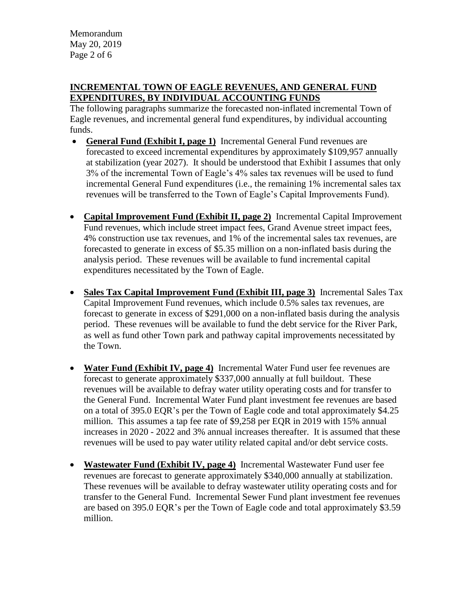Memorandum May 20, 2019 Page 2 of 6

## **INCREMENTAL TOWN OF EAGLE REVENUES, AND GENERAL FUND EXPENDITURES, BY INDIVIDUAL ACCOUNTING FUNDS**

The following paragraphs summarize the forecasted non-inflated incremental Town of Eagle revenues, and incremental general fund expenditures, by individual accounting funds.

- **General Fund (Exhibit I, page 1)** Incremental General Fund revenues are forecasted to exceed incremental expenditures by approximately \$109,957 annually at stabilization (year 2027). It should be understood that Exhibit I assumes that only 3% of the incremental Town of Eagle's 4% sales tax revenues will be used to fund incremental General Fund expenditures (i.e., the remaining 1% incremental sales tax revenues will be transferred to the Town of Eagle's Capital Improvements Fund).
- **Capital Improvement Fund (Exhibit II, page 2)** Incremental Capital Improvement Fund revenues, which include street impact fees, Grand Avenue street impact fees, 4% construction use tax revenues, and 1% of the incremental sales tax revenues, are forecasted to generate in excess of \$5.35 million on a non-inflated basis during the analysis period. These revenues will be available to fund incremental capital expenditures necessitated by the Town of Eagle.
- **Sales Tax Capital Improvement Fund (Exhibit III, page 3)** Incremental Sales Tax Capital Improvement Fund revenues, which include 0.5% sales tax revenues, are forecast to generate in excess of \$291,000 on a non-inflated basis during the analysis period. These revenues will be available to fund the debt service for the River Park, as well as fund other Town park and pathway capital improvements necessitated by the Town.
- **Water Fund (Exhibit IV, page 4)** Incremental Water Fund user fee revenues are forecast to generate approximately \$337,000 annually at full buildout. These revenues will be available to defray water utility operating costs and for transfer to the General Fund. Incremental Water Fund plant investment fee revenues are based on a total of 395.0 EQR's per the Town of Eagle code and total approximately \$4.25 million. This assumes a tap fee rate of \$9,258 per EQR in 2019 with 15% annual increases in 2020 - 2022 and 3% annual increases thereafter. It is assumed that these revenues will be used to pay water utility related capital and/or debt service costs.
- **Wastewater Fund (Exhibit IV, page 4)** Incremental Wastewater Fund user fee revenues are forecast to generate approximately \$340,000 annually at stabilization. These revenues will be available to defray wastewater utility operating costs and for transfer to the General Fund. Incremental Sewer Fund plant investment fee revenues are based on 395.0 EQR's per the Town of Eagle code and total approximately \$3.59 million.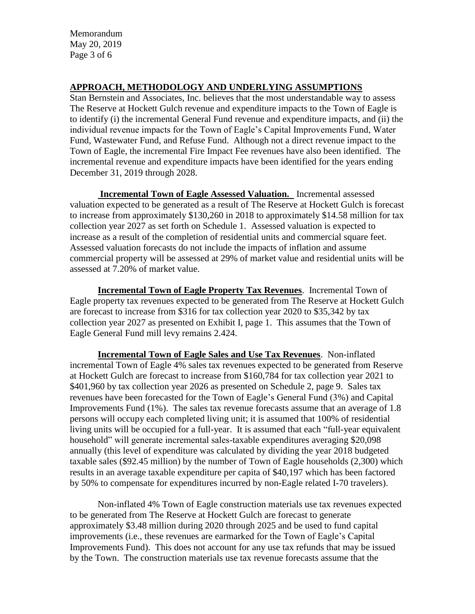Memorandum May 20, 2019 Page 3 of 6

### **APPROACH, METHODOLOGY AND UNDERLYING ASSUMPTIONS**

Stan Bernstein and Associates, Inc. believes that the most understandable way to assess The Reserve at Hockett Gulch revenue and expenditure impacts to the Town of Eagle is to identify (i) the incremental General Fund revenue and expenditure impacts, and (ii) the individual revenue impacts for the Town of Eagle's Capital Improvements Fund, Water Fund, Wastewater Fund, and Refuse Fund. Although not a direct revenue impact to the Town of Eagle, the incremental Fire Impact Fee revenues have also been identified. The incremental revenue and expenditure impacts have been identified for the years ending December 31, 2019 through 2028.

**Incremental Town of Eagle Assessed Valuation.** Incremental assessed valuation expected to be generated as a result of The Reserve at Hockett Gulch is forecast to increase from approximately \$130,260 in 2018 to approximately \$14.58 million for tax collection year 2027 as set forth on Schedule 1. Assessed valuation is expected to increase as a result of the completion of residential units and commercial square feet. Assessed valuation forecasts do not include the impacts of inflation and assume commercial property will be assessed at 29% of market value and residential units will be assessed at 7.20% of market value.

**Incremental Town of Eagle Property Tax Revenues**. Incremental Town of Eagle property tax revenues expected to be generated from The Reserve at Hockett Gulch are forecast to increase from \$316 for tax collection year 2020 to \$35,342 by tax collection year 2027 as presented on Exhibit I, page 1. This assumes that the Town of Eagle General Fund mill levy remains 2.424.

**Incremental Town of Eagle Sales and Use Tax Revenues**. Non-inflated incremental Town of Eagle 4% sales tax revenues expected to be generated from Reserve at Hockett Gulch are forecast to increase from \$160,784 for tax collection year 2021 to \$401,960 by tax collection year 2026 as presented on Schedule 2, page 9. Sales tax revenues have been forecasted for the Town of Eagle's General Fund (3%) and Capital Improvements Fund (1%). The sales tax revenue forecasts assume that an average of 1.8 persons will occupy each completed living unit; it is assumed that 100% of residential living units will be occupied for a full-year. It is assumed that each "full-year equivalent household" will generate incremental sales-taxable expenditures averaging \$20,098 annually (this level of expenditure was calculated by dividing the year 2018 budgeted taxable sales (\$92.45 million) by the number of Town of Eagle households (2,300) which results in an average taxable expenditure per capita of \$40,197 which has been factored by 50% to compensate for expenditures incurred by non-Eagle related I-70 travelers).

Non-inflated 4% Town of Eagle construction materials use tax revenues expected to be generated from The Reserve at Hockett Gulch are forecast to generate approximately \$3.48 million during 2020 through 2025 and be used to fund capital improvements (i.e., these revenues are earmarked for the Town of Eagle's Capital Improvements Fund). This does not account for any use tax refunds that may be issued by the Town. The construction materials use tax revenue forecasts assume that the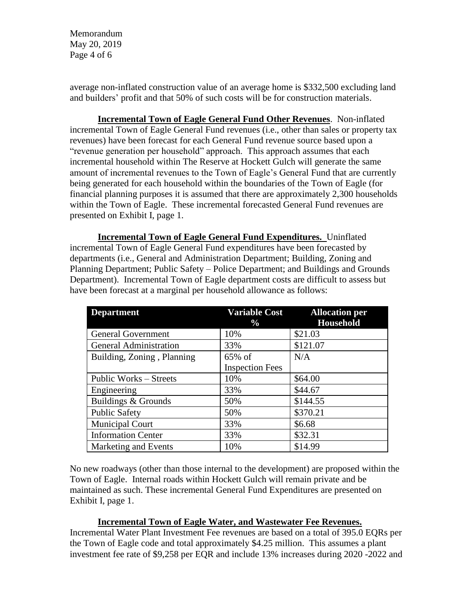Memorandum May 20, 2019 Page 4 of 6

average non-inflated construction value of an average home is \$332,500 excluding land and builders' profit and that 50% of such costs will be for construction materials.

**Incremental Town of Eagle General Fund Other Revenues**. Non-inflated incremental Town of Eagle General Fund revenues (i.e., other than sales or property tax revenues) have been forecast for each General Fund revenue source based upon a "revenue generation per household" approach. This approach assumes that each incremental household within The Reserve at Hockett Gulch will generate the same amount of incremental revenues to the Town of Eagle's General Fund that are currently being generated for each household within the boundaries of the Town of Eagle (for financial planning purposes it is assumed that there are approximately 2,300 households within the Town of Eagle. These incremental forecasted General Fund revenues are presented on Exhibit I, page 1.

**Incremental Town of Eagle General Fund Expenditures.** Uninflated incremental Town of Eagle General Fund expenditures have been forecasted by departments (i.e., General and Administration Department; Building, Zoning and Planning Department; Public Safety – Police Department; and Buildings and Grounds Department). Incremental Town of Eagle department costs are difficult to assess but have been forecast at a marginal per household allowance as follows:

| <b>Department</b>             | <b>Variable Cost</b><br>$\%$ | <b>Allocation per</b><br><b>Household</b> |
|-------------------------------|------------------------------|-------------------------------------------|
| <b>General Government</b>     | 10%                          | \$21.03                                   |
| <b>General Administration</b> | 33%                          | \$121.07                                  |
| Building, Zoning, Planning    | $65\%$ of                    | N/A                                       |
|                               | <b>Inspection Fees</b>       |                                           |
| Public Works – Streets        | 10%                          | \$64.00                                   |
| Engineering                   | 33%                          | \$44.67                                   |
| Buildings & Grounds           | 50%                          | \$144.55                                  |
| <b>Public Safety</b>          | 50%                          | \$370.21                                  |
| <b>Municipal Court</b>        | 33%                          | \$6.68                                    |
| <b>Information Center</b>     | 33%                          | \$32.31                                   |
| Marketing and Events          | 10%                          | \$14.99                                   |

No new roadways (other than those internal to the development) are proposed within the Town of Eagle. Internal roads within Hockett Gulch will remain private and be maintained as such. These incremental General Fund Expenditures are presented on Exhibit I, page 1.

### **Incremental Town of Eagle Water, and Wastewater Fee Revenues.**

Incremental Water Plant Investment Fee revenues are based on a total of 395.0 EQRs per the Town of Eagle code and total approximately \$4.25 million. This assumes a plant investment fee rate of \$9,258 per EQR and include 13% increases during 2020 -2022 and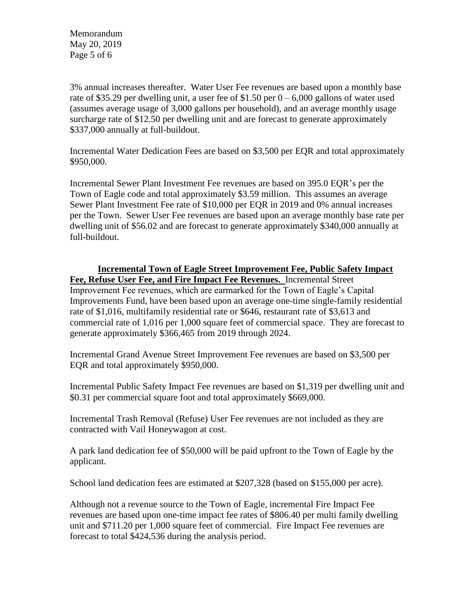Memorandum May 20, 2019 Page 5 of 6

3% annual increases thereafter. Water User Fee revenues are based upon a monthly base rate of \$35.29 per dwelling unit, a user fee of \$1.50 per  $0 - 6,000$  gallons of water used (assumes average usage of 3,000 gallons per household), and an average monthly usage surcharge rate of \$12.50 per dwelling unit and are forecast to generate approximately \$337,000 annually at full-buildout.

Incremental Water Dedication Fees are based on \$3,500 per EQR and total approximately \$950,000.

Incremental Sewer Plant Investment Fee revenues are based on 395.0 EQR's per the Town of Eagle code and total approximately \$3.59 million. This assumes an average Sewer Plant Investment Fee rate of \$10,000 per EQR in 2019 and 0% annual increases per the Town. Sewer User Fee revenues are based upon an average monthly base rate per dwelling unit of \$56.02 and are forecast to generate approximately \$340,000 annually at full-buildout.

**Incremental Town of Eagle Street Improvement Fee, Public Safety Impact Fee, Refuse User Fee, and Fire Impact Fee Revenues.** Incremental Street Improvement Fee revenues, which are earmarked for the Town of Eagle's Capital Improvements Fund, have been based upon an average one-time single-family residential rate of \$1,016, multifamily residential rate or \$646, restaurant rate of \$3,613 and commercial rate of 1,016 per 1,000 square feet of commercial space. They are forecast to generate approximately \$366,465 from 2019 through 2024.

Incremental Grand Avenue Street Improvement Fee revenues are based on \$3,500 per EQR and total approximately \$950,000.

Incremental Public Safety Impact Fee revenues are based on \$1,319 per dwelling unit and \$0.31 per commercial square foot and total approximately \$669,000.

Incremental Trash Removal (Refuse) User Fee revenues are not included as they are contracted with Vail Honeywagon at cost.

A park land dedication fee of \$50,000 will be paid upfront to the Town of Eagle by the applicant.

School land dedication fees are estimated at \$207,328 (based on \$155,000 per acre).

Although not a revenue source to the Town of Eagle, incremental Fire Impact Fee revenues are based upon one-time impact fee rates of \$806.40 per multi family dwelling unit and \$711.20 per 1,000 square feet of commercial. Fire Impact Fee revenues are forecast to total \$424,536 during the analysis period.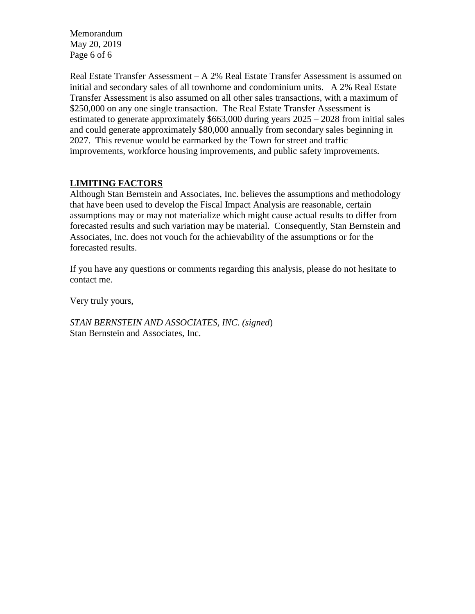Memorandum May 20, 2019 Page 6 of 6

Real Estate Transfer Assessment – A 2% Real Estate Transfer Assessment is assumed on initial and secondary sales of all townhome and condominium units. A 2% Real Estate Transfer Assessment is also assumed on all other sales transactions, with a maximum of \$250,000 on any one single transaction. The Real Estate Transfer Assessment is estimated to generate approximately \$663,000 during years 2025 – 2028 from initial sales and could generate approximately \$80,000 annually from secondary sales beginning in 2027. This revenue would be earmarked by the Town for street and traffic improvements, workforce housing improvements, and public safety improvements.

### **LIMITING FACTORS**

Although Stan Bernstein and Associates, Inc. believes the assumptions and methodology that have been used to develop the Fiscal Impact Analysis are reasonable, certain assumptions may or may not materialize which might cause actual results to differ from forecasted results and such variation may be material. Consequently, Stan Bernstein and Associates, Inc. does not vouch for the achievability of the assumptions or for the forecasted results.

If you have any questions or comments regarding this analysis, please do not hesitate to contact me.

Very truly yours,

*STAN BERNSTEIN AND ASSOCIATES, INC. (signed*) Stan Bernstein and Associates, Inc.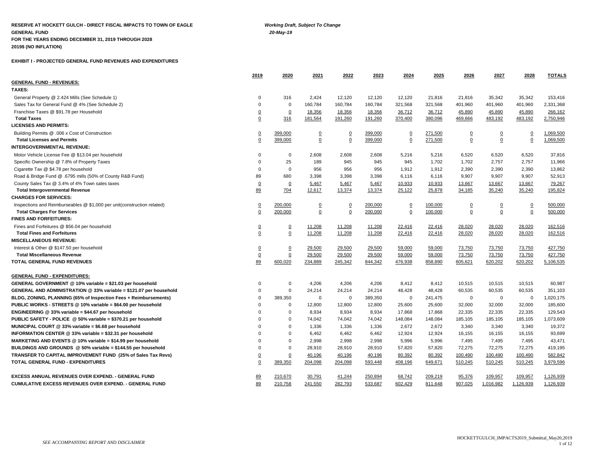**RESERVE AT HOCKETT GULCH - DIRECT FISCAL IMPACTS TO TOWN OF EAGLE** *Working Draft, Subject To Change* **GENERAL FUND** *20-May-19* **FOR THE YEARS ENDING DECEMBER 31, 2019 THROUGH 2028 2019\$ (NO INFLATION)**

#### **EXHIBIT I - PROJECTED GENERAL FUND REVENUES AND EXPENDITURES**

|                                                                         | 2019           | 2020           | 2021           | 2022           | 2023    | 2024           | 2025    | 2026           | 2027           | 2028           | <b>TOTALS</b> |
|-------------------------------------------------------------------------|----------------|----------------|----------------|----------------|---------|----------------|---------|----------------|----------------|----------------|---------------|
| <b>GENERAL FUND - REVENUES:</b>                                         |                |                |                |                |         |                |         |                |                |                |               |
| TAXES:                                                                  |                |                |                |                |         |                |         |                |                |                |               |
| General Property @ 2.424 Mills (See Schedule 1)                         | $\Omega$       | 316            | 2,424          | 12,120         | 12,120  | 12,120         | 21,816  | 21,816         | 35,342         | 35,342         | 153,416       |
| Sales Tax for General Fund @ 4% (See Schedule 2)                        | $\Omega$       | $\mathbf 0$    | 160,784        | 160,784        | 160,784 | 321,568        | 321,568 | 401,960        | 401,960        | 401,960        | 2,331,368     |
| Franchise Taxes @ \$91.78 per Household                                 | $\overline{0}$ | $\overline{0}$ | 18,356         | 18,356         | 18,356  | 36,712         | 36,712  | 45,890         | 45,890         | 45,890         | 266,162       |
| <b>Total Taxes</b>                                                      | $\mathbf 0$    | 316            | 181,564        | 191,260        | 191,260 | 370,400        | 380,096 | 469,666        | 483,192        | 483,192        | 2,750,946     |
| <b>LICENSES AND PERMITS:</b>                                            |                |                |                |                |         |                |         |                |                |                |               |
| Building Permits @ .006 x Cost of Construction                          | $\overline{0}$ | 399,000        | $\overline{0}$ | $\overline{0}$ | 399,000 | $\overline{0}$ | 271,500 | $\overline{0}$ | $\overline{0}$ | <u>0</u>       | 1,069,500     |
| <b>Total Licenses and Permits</b>                                       | $\Omega$       | 399.000        | $\overline{0}$ | $\overline{0}$ | 399.000 | 0              | 271,500 | 0              | 0              | $\overline{0}$ | 1,069,500     |
| <b>INTERGOVERNMENTAL REVENUE:</b>                                       |                |                |                |                |         |                |         |                |                |                |               |
| Motor Vehicle License Fee @ \$13.04 per household                       | $\Omega$       | $\Omega$       | 2,608          | 2,608          | 2,608   | 5,216          | 5,216   | 6,520          | 6,520          | 6,520          | 37,816        |
| Specific Ownership @ 7.8% of Property Taxes                             | $\Omega$       | 25             | 189            | 945            | 945     | 945            | 1,702   | 1,702          | 2,757          | 2,757          | 11,966        |
| Cigarette Tax @ \$4.78 per household                                    | $\Omega$       | $\Omega$       | 956            | 956            | 956     | 1,912          | 1,912   | 2,390          | 2,390          | 2,390          | 13,862        |
| Road & Bridge Fund @ .6795 mills (50% of County R&B Fund)               | 89             | 680            | 3,398          | 3,398          | 3,398   | 6,116          | 6,116   | 9,907          | 9,907          | 9,907          | 52,913        |
| County Sales Tax @ 3.4% of 4% Town sales taxes                          | $\overline{0}$ | $\overline{0}$ | 5,467          | 5,467          | 5,467   | 10,933         | 10,933  | 13,667         | 13,667         | 13,667         | 79,267        |
| <b>Total Intergovernmental Revenue</b>                                  | 89             | 704            | 12,617         | 13,374         | 13,374  | 25,122         | 25,878  | 34,185         | 35,240         | 35,240         | 195,824       |
| <b>CHARGES FOR SERVICES:</b>                                            |                |                |                |                |         |                |         |                |                |                |               |
| Inspections and Reimburseables @ \$1,000 per unit(construction related) | $\Omega$       | 200,000        | $\overline{0}$ | $\overline{0}$ | 200,000 | $\overline{0}$ | 100,000 | $\overline{0}$ | $\overline{0}$ | $\overline{0}$ | 500,000       |
| <b>Total Charges For Services</b>                                       | $\Omega$       | 200.000        | $\overline{0}$ | $\mathbf 0$    | 200.000 | $\Omega$       | 100,000 | $\Omega$       | $\Omega$       | $\Omega$       | 500,000       |
| <b>FINES AND FORFEITURES:</b>                                           |                |                |                |                |         |                |         |                |                |                |               |
| Fines and Forfeitures @ \$56.04 per household                           | $\overline{0}$ | $\overline{0}$ | 11,208         | 11,208         | 11,208  | 22,416         | 22,416  | 28,020         | 28,020         | 28,020         | 162,516       |
| <b>Total Fines and Forfeitures</b>                                      | $\overline{0}$ | $\overline{0}$ | 11,208         | 11,208         | 11,208  | 22,416         | 22,416  | 28,020         | 28,020         | 28,020         | 162,516       |
| <b>MISCELLANEOUS REVENUE:</b>                                           |                |                |                |                |         |                |         |                |                |                |               |
| Interest & Other @ \$147.50 per household                               | $\overline{0}$ | $\overline{0}$ | 29,500         | 29,500         | 29,500  | 59,000         | 59,000  | 73,750         | 73,750         | 73,750         | 427,750       |
| <b>Total Miscellaneous Revenue</b>                                      | $\overline{0}$ | $\overline{0}$ | 29,500         | 29,500         | 29,500  | 59,000         | 59,000  | 73,750         | 73,750         | 73,750         | 427,750       |
| TOTAL GENERAL FUND REVENUES                                             | 89             | 600,020        | 234,889        | 245,342        | 844,342 | 476,938        | 858,890 | 605,621        | 620,202        | 620,202        | 5,106,535     |
| <b>GENERAL FUND - EXPENDITURES:</b>                                     |                |                |                |                |         |                |         |                |                |                |               |
| GENERAL GOVERNMENT @ 10% variable = \$21.03 per household               | $\mathbf 0$    | $\mathbf 0$    | 4,206          | 4,206          | 4,206   | 8,412          | 8,412   | 10,515         | 10,515         | 10,515         | 60,987        |
| GENERAL AND ADMINISTRATION @ 33% variable = \$121.07 per household      | $\Omega$       | $\Omega$       | 24,214         | 24,214         | 24,214  | 48,428         | 48,428  | 60,535         | 60,535         | 60,535         | 351,103       |
| BLDG, ZONING, PLANNING (65% of Inspection Fees + Reimbursements)        | $\Omega$       | 389,350        | $\mathbf 0$    | $\Omega$       | 389,350 | $\mathbf 0$    | 241,475 | $\Omega$       | $\mathbf 0$    | 0              | 1,020,175     |
| PUBLIC WORKS - STREETS @ 10% variable = \$64.00 per household           | $\mathbf 0$    | 0              | 12,800         | 12,800         | 12,800  | 25,600         | 25,600  | 32,000         | 32,000         | 32,000         | 185,600       |
| ENGINEERING @ 33% variable = \$44.67 per household                      | $\Omega$       | $\Omega$       | 8,934          | 8,934          | 8,934   | 17,868         | 17,868  | 22,335         | 22,335         | 22,335         | 129,543       |
| PUBLIC SAFETY - POLICE @ 50% variable = \$370.21 per household          | $\Omega$       | $\Omega$       | 74,042         | 74,042         | 74,042  | 148,084        | 148,084 | 185,105        | 185,105        | 185,105        | 1,073,609     |
| MUNICIPAL COURT @ 33% variable = \$6.68 per household                   | $\Omega$       | $\Omega$       | 1,336          | 1,336          | 1,336   | 2,672          | 2,672   | 3,340          | 3,340          | 3,340          | 19,372        |
| INFORMATION CENTER @ 33% variable = \$32.31 per household               | $\Omega$       | $\Omega$       | 6,462          | 6,462          | 6,462   | 12,924         | 12,924  | 16,155         | 16,155         | 16,155         | 93,699        |
| MARKETING AND EVENTS @ 10% variable = \$14.99 per household             | $\Omega$       | $\Omega$       | 2,998          | 2,998          | 2,998   | 5,996          | 5,996   | 7,495          | 7,495          | 7,495          | 43,471        |
| BUILDINGS AND GROUNDS @ 50% variable = \$144.55 per household           | $\Omega$       | $\Omega$       | 28.910         | 28,910         | 28,910  | 57,820         | 57,820  | 72,275         | 72,275         | 72,275         | 419,195       |
| TRANSFER TO CAPITAL IMPROVEMENT FUND (25% of Sales Tax Revs)            | $\overline{0}$ | $\overline{0}$ | 40,196         | 40,196         | 40,196  | 80,392         | 80,392  | 100,490        | 100,490        | 100,490        | 582,842       |
| TOTAL GENERAL FUND - EXPENDITURES                                       | 0              | 389,350        | 204,098        | 204,098        | 593,448 | 408,196        | 649,671 | 510,245        | 510,245        | 510,245        | 3,979,596     |
| EXCESS ANNUAL REVENUES OVER EXPEND. - GENERAL FUND                      | 89             | 210,670        | 30,791         | 41,244         | 250,894 | 68,742         | 209,219 | 95,376         | 109,957        | 109,957        | 1,126,939     |
| <b>CUMULATIVE EXCESS REVENUES OVER EXPEND. - GENERAL FUND</b>           | 89             | 210,758        | 241,550        | 282,793        | 533,687 | 602,429        | 811.648 | 907,025        | 1.016.982      | 1.126.939      | 1,126,939     |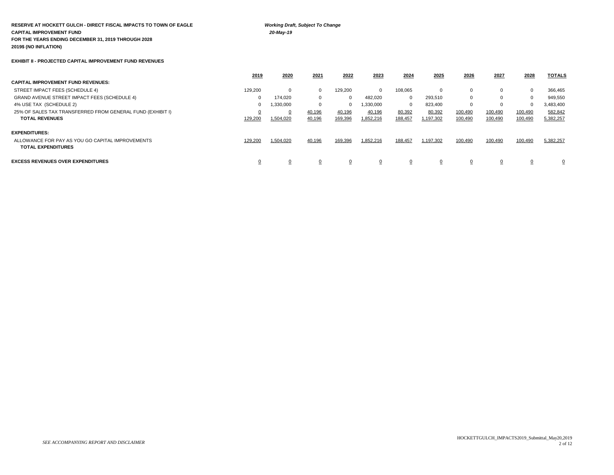**RESERVE AT HOCKETT GULCH - DIRECT FISCAL IMPACTS TO TOWN OF EAGLE** *Working Draft, Subject To Change* **CAPITAL IMPROVEMENT FUND** *20-May-19* **FOR THE YEARS ENDING DECEMBER 31, 2019 THROUGH 2028 2019\$ (NO INFLATION)**

#### **EXHIBIT II - PROJECTED CAPITAL IMPROVEMENT FUND REVENUES**

|                                                                               | 2019     | 2020           | 2021   | 2022     | 2023      | 2024         | 2025      | 2026     | 2027    | 2028    | <b>TOTALS</b> |
|-------------------------------------------------------------------------------|----------|----------------|--------|----------|-----------|--------------|-----------|----------|---------|---------|---------------|
| <b>CAPITAL IMPROVEMENT FUND REVENUES:</b>                                     |          |                |        |          |           |              |           |          |         |         |               |
| STREET IMPACT FEES (SCHEDULE 4)                                               | 129,200  | $\mathbf{0}$   |        | 129,200  | $\Omega$  | 108,065      | 0         | $\Omega$ | 0       | 0       | 366,465       |
| <b>GRAND AVENUE STREET IMPACT FEES (SCHEDULE 4)</b>                           | 0        | 174.020        | 0      |          | 482,020   | $\mathbf{0}$ | 293,510   | $\Omega$ |         | 0       | 949,550       |
| 4% USE TAX (SCHEDULE 2)                                                       | 0        | 1,330,000      |        | $\Omega$ | 1,330,000 | $\mathbf{0}$ | 823,400   | 0        |         | 0       | 3,483,400     |
| 25% OF SALES TAX TRANSFERRED FROM GENERAL FUND (EXHIBIT I)                    |          | $\overline{0}$ | 40,196 | 40,196   | 40,196    | 80,392       | 80,392    | 100,490  | 100,490 | 100,490 | 582,842       |
| <b>TOTAL REVENUES</b>                                                         | 129,200  | 1,504,020      | 40,196 | 169,396  | 1,852,216 | 188,457      | 1,197,302 | 100,490  | 100,490 | 100,490 | 5,382,257     |
| <b>EXPENDITURES:</b>                                                          |          |                |        |          |           |              |           |          |         |         |               |
| ALLOWANCE FOR PAY AS YOU GO CAPITAL IMPROVEMENTS<br><b>TOTAL EXPENDITURES</b> | 129,200  | 1,504,020      | 40,196 | 169,396  | 1,852,216 | 188,457      | 1,197,302 | 100,490  | 100,490 | 100,490 | 5,382,257     |
| <b>EXCESS REVENUES OVER EXPENDITURES</b>                                      | <u>0</u> | 0              |        | 0        |           | 0            |           | 0        |         |         | $\mathbf{0}$  |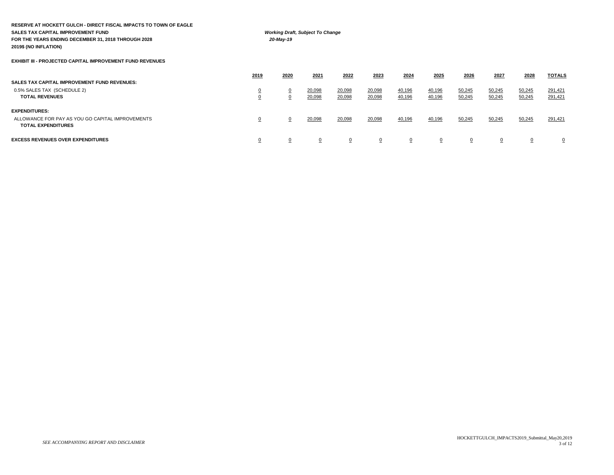| RESERVE AT HOCKETT GULCH - DIRECT FISCAL IMPACTS TO TOWN OF EAGLE<br><b>SALES TAX CAPITAL IMPROVEMENT FUND</b><br>FOR THE YEARS ENDING DECEMBER 31, 2018 THROUGH 2028<br>2019\$ (NO INFLATION) |                            | 20-May-19      | <b>Working Draft, Subject To Change</b> |                |                |          |          |        |          |        |               |
|------------------------------------------------------------------------------------------------------------------------------------------------------------------------------------------------|----------------------------|----------------|-----------------------------------------|----------------|----------------|----------|----------|--------|----------|--------|---------------|
| <b>EXHIBIT III - PROJECTED CAPITAL IMPROVEMENT FUND REVENUES</b>                                                                                                                               |                            |                |                                         |                |                |          |          |        |          |        |               |
|                                                                                                                                                                                                | 2019                       | 2020           | 2021                                    | 2022           | 2023           | 2024     | 2025     | 2026   | 2027     | 2028   | <b>TOTALS</b> |
| <b>SALES TAX CAPITAL IMPROVEMENT FUND REVENUES:</b><br>0.5% SALES TAX (SCHEDULE 2)                                                                                                             |                            | $\Omega$       | 20,098                                  | 20,098         | 20,098         | 40,196   | 40,196   | 50,245 | 50,245   | 50,245 | 291,421       |
| <b>TOTAL REVENUES</b>                                                                                                                                                                          | $\overline{0}$<br>$\Omega$ | $\overline{0}$ | 20,098                                  | 20,098         | 20,098         | 40,196   | 40,196   | 50,245 | 50,245   | 50,245 | 291,421       |
| <b>EXPENDITURES:</b>                                                                                                                                                                           |                            |                |                                         |                |                |          |          |        |          |        |               |
| ALLOWANCE FOR PAY AS YOU GO CAPITAL IMPROVEMENTS<br><b>TOTAL EXPENDITURES</b>                                                                                                                  | $\overline{0}$             | $\overline{0}$ | 20,098                                  | 20,098         | 20,098         | 40,196   | 40,196   | 50,245 | 50,245   | 50,245 | 291,421       |
| <b>EXCESS REVENUES OVER EXPENDITURES</b>                                                                                                                                                       | $\overline{0}$             | $\Omega$       | $\Omega$                                | $\overline{0}$ | $\overline{0}$ | $\Omega$ | $\Omega$ | 0      | $\Omega$ |        | 0             |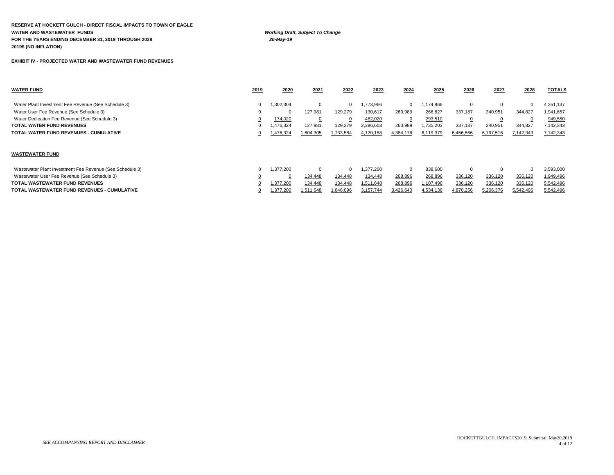**RESERVE AT HOCKETT GULCH - DIRECT FISCAL IMPACTS TO TOWN OF EAGLE WATER AND WASTEWATER FUNDS** *Working Draft, Subject To Change* **FOR THE YEARS ENDING DECEMBER 31, 2019 THROUGH 2028** *20-May-19* **2019\$ (NO INFLATION)**

**EXHIBIT IV - PROJECTED WATER AND WASTEWATER FUND REVENUES** 

| <b>WATER FUND</b>                                   | 2019 | 2020      | 2021      | 2022      | 2023      | 2024      | 2025      | 2026      | 2027      | 2028      | <b>TOTALS</b> |
|-----------------------------------------------------|------|-----------|-----------|-----------|-----------|-----------|-----------|-----------|-----------|-----------|---------------|
|                                                     |      |           |           |           |           |           |           |           |           |           |               |
| Water Plant Investment Fee Revenue (See Schedule 3) |      | 1,302,304 | 0         |           | 1,773,966 |           | 1.174.866 |           |           |           | 4,251,137     |
| Water User Fee Revenue (See Schedule 3)             |      |           | 127,981   | 129,279   | 130,617   | 263.989   | 266,827   | 337.187   | 340.951   | 344.827   | 1,941,657     |
| Water Dedication Fee Revenue (See Schedule 3)       |      | 174,020   |           |           | 482,020   |           | 293,510   |           |           |           | 949,550       |
| <b>TOTAL WATER FUND REVENUES</b>                    |      | 1,476,324 | 127,981   | 129,279   | 2,386,603 | 263,989   | 1,735,203 | 337,187   | 340,95    | 344,827   | 7,142,343     |
| TOTAL WATER FUND REVENUES - CUMULATIVE              |      | 1,476,324 | 1,604,305 | 1,733,584 | 4,120,188 | 4,384,176 | 6,119,379 | 6,456,566 | 6,797,516 | 7,142,343 | 7,142,343     |
|                                                     |      |           |           |           |           |           |           |           |           |           |               |
|                                                     |      |           |           |           |           |           |           |           |           |           |               |
|                                                     |      |           |           |           |           |           |           |           |           |           |               |

#### **WASTEWATER FUND**

| Wastewater Plant Investment Fee Revenue (See Schedule 3) | 1.377.200 |           |           | .377.200  |           | 838,600   |           |           |           | 3.593.000        |
|----------------------------------------------------------|-----------|-----------|-----------|-----------|-----------|-----------|-----------|-----------|-----------|------------------|
| Wastewater User Fee Revenue (See Schedule 3)             |           | 134.448   | 134.448   | 134.448   | 268,896   | 268,896   | 336,120   | 336.120   | 336.120   | 1,949,496        |
| TOTAL WASTEWATER FUND REVENUES                           | 1.377.200 | 134.448   | 134.448   | 1.511.648 | 268.896   | .107.496  | 336.120   | 336.120   | 336.120   | 5,542,496        |
| TOTAL WASTEWATER FUND REVENUES - CUMULATIVE              | 1.377.200 | 1.511.648 | 1.646.096 | 3.157.744 | 3.426.640 | 4.534.136 | 4,870,256 | 5,206,376 | 5.542.496 | <u>5,542,496</u> |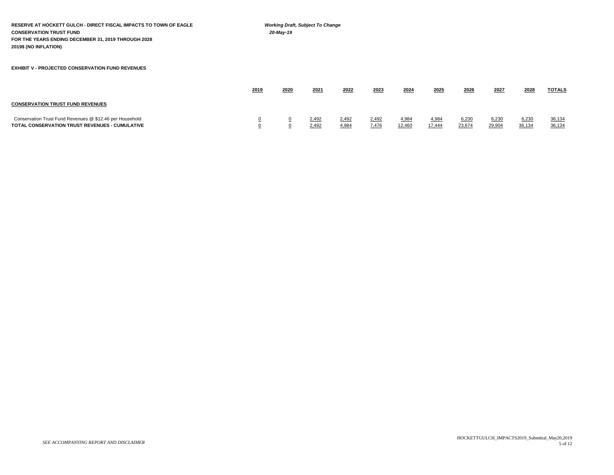**RESERVE AT HOCKETT GULCH - DIRECT FISCAL IMPACTS TO TOWN OF EAGLE** *Working Draft, Subject To Change* **CONSERVATION TRUST FUND** *20-May-19* **FOR THE YEARS ENDING DECEMBER 31, 2019 THROUGH 2028 2019\$ (NO INFLATION) EXHIBIT V - PROJECTED CONSERVATION FUND REVENUES 2019 2020 2021 2022 2023 2024 2025 2026 2027 2028 TOTALS CONSERVATION TRUST FUND REVENUES** Conservation Trust Fund Revenues @ \$12.46 per Household 1 0 0 2,492 0,492 2,492 2,492 4,984 4,984 6,230 6,230 6,230 36,134

**TOTAL CONSERVATION TRUST REVENUES - CUMULATIVE** 0 0 2,492 4,984 7,476 12,460 17,444 23,674 29,904 36,134 36,134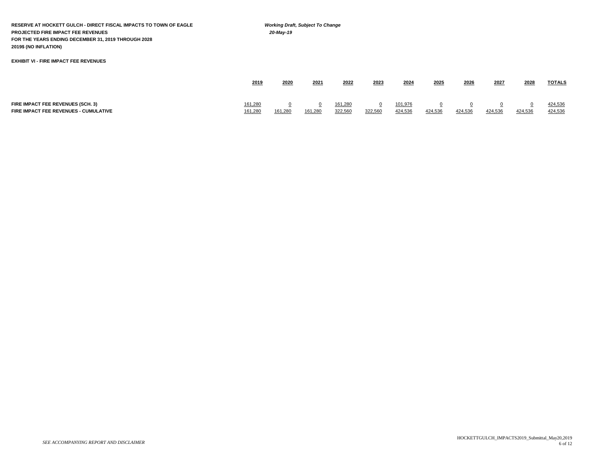**RESERVE AT HOCKETT GULCH - DIRECT FISCAL IMPACTS TO TOWN OF EAGLE** *Working Draft, Subject To Change* **PROJECTED FIRE IMPACT FEE REVENUES** *20-May-19* **FOR THE YEARS ENDING DECEMBER 31, 2019 THROUGH 2028 2019\$ (NO INFLATION)**

#### **EXHIBIT VI - FIRE IMPACT FEE REVENUES**

|                                          | 2019    | 2020    | 2021    | 2022    | 2023    | 2024    | 2025    | 2026    | 2027    | 2028    | <b>TOTALS</b> |
|------------------------------------------|---------|---------|---------|---------|---------|---------|---------|---------|---------|---------|---------------|
|                                          |         |         |         |         |         |         |         |         |         |         |               |
| <b>FIRE IMPACT FEE REVENUES (SCH. 3)</b> | 161,280 |         |         | 161,280 |         | 101,976 |         |         |         |         | 424,536       |
| FIRE IMPACT FEE REVENUES - CUMULATIVE    | 161,280 | 161.280 | 161,280 | 322,560 | 322,560 | 424,536 | 424,536 | 424.536 | 424.536 | 424.536 | 424,536       |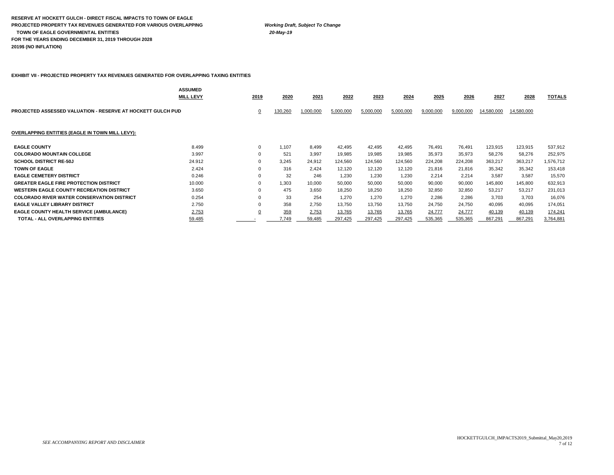#### **RESERVE AT HOCKETT GULCH - DIRECT FISCAL IMPACTS TO TOWN OF EAGLE PROJECTED PROPERTY TAX REVENUES GENERATED FOR VARIOUS OVERLAPPING** *Working Draft, Subject To Change*  **TOWN OF EAGLE GOVERNMENTAL ENTITIES** *20-May-19* **FOR THE YEARS ENDING DECEMBER 31, 2019 THROUGH 2028 2019\$ (NO INFLATION)**

### **EXHIBIT VII - PROJECTED PROPERTY TAX REVENUES GENERATED FOR OVERLAPPING TAXING ENTITIES**

|                                                                    | <b>ASSUMED</b><br><b>MILL LEVY</b> | 2019        | 2020    | 2021      | 2022      | 2023      | 2024      | 2025      | 2026      | 2027       | 2028       | TOTALS    |
|--------------------------------------------------------------------|------------------------------------|-------------|---------|-----------|-----------|-----------|-----------|-----------|-----------|------------|------------|-----------|
| <b>PROJECTED ASSESSED VALUATION - RESERVE AT HOCKETT GULCH PUD</b> |                                    | <u>0</u>    | 130,260 | 1,000,000 | 5,000,000 | 5,000,000 | 5,000,000 | 9,000,000 | 9,000,000 | 14,580,000 | 14,580,000 |           |
| <b>OVERLAPPING ENTITIES (EAGLE IN TOWN MILL LEVY):</b>             |                                    |             |         |           |           |           |           |           |           |            |            |           |
| <b>EAGLE COUNTY</b>                                                | 8.499                              | $\mathbf 0$ | 1,107   | 8.499     | 42,495    | 42,495    | 42,495    | 76,491    | 76,491    | 123,915    | 123,915    | 537,912   |
| <b>COLORADO MOUNTAIN COLLEGE</b>                                   | 3.997                              | $\Omega$    | 521     | 3,997     | 19,985    | 19,985    | 19,985    | 35,973    | 35,973    | 58,276     | 58,276     | 252,975   |
| <b>SCHOOL DISTRICT RE-50J</b>                                      | 24.912                             | 0           | 3,245   | 24,912    | 124,560   | 124,560   | 124,560   | 224,208   | 224,208   | 363,217    | 363,217    | 1,576,712 |
| <b>TOWN OF EAGLE</b>                                               | 2.424                              |             | 316     | 2,424     | 12,120    | 12,120    | 12,120    | 21,816    | 21,816    | 35,342     | 35,342     | 153,418   |
| <b>EAGLE CEMETERY DISTRICT</b>                                     | 0.246                              |             | 32      | 246       | 1,230     | 1.230     | 1.230     | 2,214     | 2,214     | 3,587      | 3,587      | 15,570    |
| <b>GREATER EAGLE FIRE PROTECTION DISTRICT</b>                      | 10.000                             | $\Omega$    | .303    | 10,000    | 50,000    | 50,000    | 50,000    | 90,000    | 90,000    | 145,800    | 145,800    | 632,913   |
| <b>WESTERN EAGLE COUNTY RECREATION DISTRICT</b>                    | 3.650                              |             | 475     | 3.650     | 18,250    | 18,250    | 18,250    | 32,850    | 32,850    | 53,217     | 53,217     | 231,013   |
| <b>COLORADO RIVER WATER CONSERVATION DISTRICT</b>                  | 0.254                              |             | 33      | 254       | 1.270     | 1,270     | 1,270     | 2,286     | 2,286     | 3,703      | 3,703      | 16,076    |
| <b>EAGLE VALLEY LIBRARY DISTRICT</b>                               | 2.750                              |             | 358     | 2.750     | 13.750    | 13,750    | 13,750    | 24,750    | 24,750    | 40,095     | 40,095     | 174,051   |
| EAGLE COUNTY HEALTH SERVICE (AMBULANCE)                            | 2.753                              |             | 359     | 2,753     | 13,765    | 13,765    | 13,765    | 24,777    | 24,777    | 40,139     | 40,139     | 174,241   |
| <b>TOTAL - ALL OVERLAPPING ENTITIES</b>                            | 59.485                             |             | 7.749   | 59,485    | 297,425   | 297,425   | 297,425   | 535,365   | 535,365   | 867,291    | 867,291    | 3,764,881 |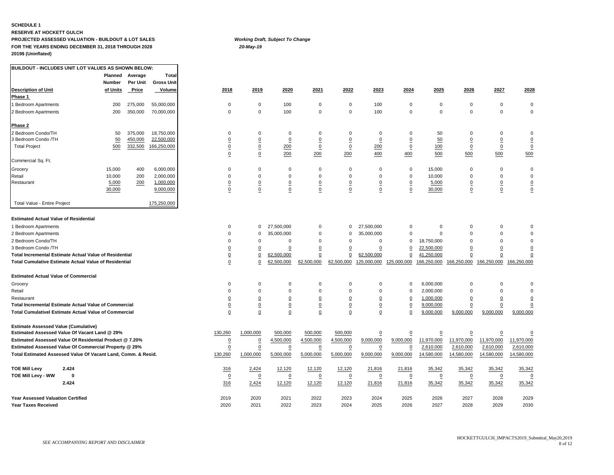#### **SCHEDULE 1**

#### **RESERVE AT HOCKETT GULCH PROJECTED ASSESSED VALUATION - BUILDOUT & LOT SALES** *Working Draft, Subject To Change* **FOR THE YEARS ENDING DECEMBER 31, 2018 THROUGH 2028** *20-May-19* **2019\$ (Uninflated)**

**BUILDOUT - INCLUDES UNIT LOT VALUES AS SHOWN BELOW:**

|                                                               | Planned  | Average  | <b>Total</b>      |                |                 |                 |                |                 |                 |                         |                |                |                 |                 |
|---------------------------------------------------------------|----------|----------|-------------------|----------------|-----------------|-----------------|----------------|-----------------|-----------------|-------------------------|----------------|----------------|-----------------|-----------------|
|                                                               | Number   | Per Unit | <b>Gross Unit</b> |                |                 |                 |                |                 |                 |                         |                |                |                 |                 |
| <b>Description of Unit</b>                                    | of Units | Price    | Volume            | 2018           | 2019            | 2020            | 2021           | 2022            | 2023            | 2024                    | 2025           | 2026           | 2027            | 2028            |
| Phase 1                                                       |          |          |                   |                |                 |                 |                |                 |                 |                         |                |                |                 |                 |
| 1 Bedroom Apartments                                          | 200      | 275,000  | 55,000,000        | $\mathbf 0$    | $\mathbf 0$     | 100             | $\mathbf 0$    | $\mathbf 0$     | 100             | $\mathbf 0$             | $\mathbf 0$    | $\mathbf 0$    | $\mathbf 0$     | $\mathbf 0$     |
| 2 Bedroom Apartments                                          | 200      | 350,000  | 70,000,000        | $\mathbf 0$    | $\mathbf 0$     | 100             | $\mathbf 0$    | $\mathbf 0$     | 100             | $\mathbf 0$             | 0              | $\mathbf 0$    | $\mathsf 0$     | $\mathbf 0$     |
| Phase 2                                                       |          |          |                   |                |                 |                 |                |                 |                 |                         |                |                |                 |                 |
| 2 Bedroom Condo/TH                                            | 50       | 375,000  | 18,750,000        | $\mathbf 0$    | $\mathbf 0$     | $\Omega$        | 0              | 0               | $\mathbf 0$     | 0                       | 50             | $\Omega$       | $\mathbf 0$     | 0               |
| 3 Bedroom Condo /TH                                           | 50       | 450,000  | 22,500,000        | $\overline{0}$ | $\overline{0}$  | $\overline{0}$  | $\overline{0}$ | $\overline{0}$  | $\underline{0}$ | $\overline{0}$          | 50             | $\overline{0}$ | $\overline{0}$  | $\overline{0}$  |
| <b>Total Project</b>                                          | 500      | 332,500  | 166,250,000       | $\overline{0}$ | $\underline{0}$ | 200             | $\overline{0}$ | $\overline{0}$  | 200             | $\underline{0}$         | 100            | $\overline{0}$ | $\underline{0}$ | $\overline{0}$  |
|                                                               |          |          |                   | $\overline{0}$ | $\pmb{0}$       | 200             | 200            | 200             | 400             | 400                     | 500            | 500            | 500             | 500             |
| Commercial Sq. Ft.                                            |          |          |                   |                |                 |                 |                |                 |                 |                         |                |                |                 |                 |
| Grocery                                                       | 15,000   | 400      | 6,000,000         | $\Omega$       | $\mathbf 0$     | $\mathbf 0$     | 0              | $\mathbf 0$     | $\mathbf 0$     | $\mathbf 0$             | 15,000         | $\Omega$       | $\mathbf 0$     | 0               |
| Retail                                                        | 10,000   | 200      | 2,000,000         | $\Omega$       | $\Omega$        | $\mathbf 0$     | $\mathbf 0$    | $\Omega$        | $\mathsf 0$     | $\mathsf 0$             | 10,000         | $\Omega$       | $\mathbf 0$     | $\mathsf 0$     |
| Restaurant                                                    | 5,000    | 200      | 1,000,000         | $\overline{0}$ | 0               | $\overline{0}$  | $\overline{0}$ | $\overline{0}$  | $\overline{0}$  | $\overline{\mathbf{0}}$ | 5,000          | $\overline{0}$ | $\underline{0}$ | $\overline{0}$  |
|                                                               | 30,000   |          | 9,000,000         | $\pmb{0}$      | 0               | $\overline{0}$  | $\overline{0}$ | $\overline{0}$  | $\overline{0}$  | $\overline{0}$          | 30,000         | 0              | $\underline{0}$ | $\underline{0}$ |
| Total Value - Entire Project                                  |          |          | 175,250,000       |                |                 |                 |                |                 |                 |                         |                |                |                 |                 |
| <b>Estimated Actual Value of Residential</b>                  |          |          |                   |                |                 |                 |                |                 |                 |                         |                |                |                 |                 |
| 1 Bedroom Apartments                                          |          |          |                   | $\Omega$       | $\mathbf 0$     | 27,500,000      | $\Omega$       | $\mathbf 0$     | 27,500,000      | $\mathbf 0$             | $\Omega$       | $\Omega$       | $\mathbf 0$     | $\Omega$        |
| 2 Bedroom Apartments                                          |          |          |                   | $\Omega$       | $\Omega$        | 35,000,000      | $\mathbf 0$    | $\Omega$        | 35,000,000      | $\Omega$                | $\mathbf 0$    | $\Omega$       | $\Omega$        | $\Omega$        |
| 2 Bedroom Condo/TH                                            |          |          |                   | $\Omega$       | $\mathbf 0$     | $\Omega$        | $\Omega$       | $\Omega$        | $\mathbf 0$     | $\Omega$                | 18,750,000     | $\Omega$       | $\mathbf 0$     | $\mathbf 0$     |
| 3 Bedroom Condo /TH                                           |          |          |                   | $\overline{0}$ | 0               | $\mathbf 0$     | $\pmb{0}$      | $\mathbf 0$     | 0               | 0                       | 22,500,000     | 0              | $\pmb{0}$       | $\overline{0}$  |
| <b>Total Incremental Estimate Actual Value of Residential</b> |          |          |                   | $\overline{0}$ | $\underline{0}$ | 62,500,000      | 0              | $\mathbf 0$     | 62,500,000      | 0                       | 41,250,000     | $\overline{0}$ | 0               | $\overline{0}$  |
| <b>Total Cumulative Estimate Actual Value of Residential</b>  |          |          |                   | $\overline{0}$ | $\Omega$        | 62,500,000      | 62,500,000     | 62,500,000      | 125,000,000     | 125,000,000             | 166,250,000    | 166,250,000    | 166,250,000     | 166,250,000     |
| <b>Estimated Actual Value of Commercial</b>                   |          |          |                   |                |                 |                 |                |                 |                 |                         |                |                |                 |                 |
| Grocery                                                       |          |          |                   | $\Omega$       | $\Omega$        | $\Omega$        | $\mathbf 0$    | $\Omega$        | $\mathbf 0$     | $\mathbf 0$             | 6,000,000      | $\Omega$       | $\Omega$        | $\mathbf 0$     |
| Retail                                                        |          |          |                   | $\Omega$       | $\Omega$        | $\Omega$        | $\mathbf 0$    | $\Omega$        | $\mathbf 0$     | $\Omega$                | 2,000,000      | $\mathbf 0$    | $\Omega$        | $\mathbf 0$     |
| Restaurant                                                    |          |          |                   | $\overline{0}$ | 0               | $\Omega$        | $\overline{0}$ | $\Omega$        | $\overline{0}$  | $\overline{0}$          | 1,000,000      | <u>0</u>       | $\overline{0}$  | $\overline{0}$  |
| <b>Total Incremental Estimate Actual Value of Commercial</b>  |          |          |                   | $\overline{0}$ | $\mathbf 0$     | $\underline{0}$ | $\overline{0}$ | $\underline{0}$ | $\underline{0}$ | $\Omega$                | 9,000,000      | $\overline{0}$ | $\mathbf 0$     | $\Omega$        |
| <b>Total Cumulativel Estimate Actual Value of Commercial</b>  |          |          |                   | $\mathbf 0$    | $\Omega$        | $\underline{0}$ | $\overline{0}$ | $\overline{0}$  | $\overline{0}$  | $\Omega$                | 9,000,000      | 9,000,000      | 9,000,000       | 9,000,000       |
| <b>Estimate Assessed Value (Cumulative)</b>                   |          |          |                   |                |                 |                 |                |                 |                 |                         |                |                |                 |                 |
| Estimated Assessed Value Of Vacant Land @ 29%                 |          |          |                   | 130,260        | 1,000,000       | 500,000         | 500,000        | 500,000         | $\overline{0}$  | 0                       | $\overline{0}$ | $\overline{0}$ | $\underline{0}$ | $\overline{0}$  |
| Estimated Assessed Value Of Residential Product @ 7.20%       |          |          |                   | $\overline{0}$ | $\overline{0}$  | 4,500,000       | 4,500,000      | 4,500,000       | 9,000,000       | 9,000,000               | 11,970,000     | 11,970,000     | 11,970,000      | 11,970,000      |
| Estimated Assessed Value Of Commercial Property @ 29%         |          |          |                   | $\mathbf 0$    | $\mathbf 0$     | $\mathbf 0$     | $\pmb{0}$      | $\mathbf 0$     | $\overline{0}$  | 0                       | 2,610,000      | 2,610,000      | 2,610,000       | 2,610,000       |
| Total Estimated Assessed Value Of Vacant Land, Comm. & Resid. |          |          |                   | 130,260        | 1,000,000       | 5,000,000       | 5,000,000      | 5,000,000       | 9,000,000       | 9,000,000               | 14,580,000     | 14,580,000     | 14,580,000      | 14,580,000      |
|                                                               |          |          |                   |                |                 |                 |                |                 |                 |                         |                |                |                 |                 |
| <b>TOE Mill Levy</b><br>2.424                                 |          |          |                   | 316            | 2,424           | 12,120          | 12,120         | 12,120          | 21,816          | 21,816                  | 35,342         | 35,342         | 35,342          | 35,342          |
| TOE Mill Levy - WW<br>0                                       |          |          |                   | $\overline{0}$ | 0               | $\mathbf 0$     | 0              | 0               | $\overline{0}$  | $\pmb{0}$               | 0              | 0              | 0               | 0               |
| 2.424                                                         |          |          |                   | 316            | 2,424           | 12,120          | 12,120         | 12,120          | 21,816          | 21,816                  | 35,342         | 35,342         | 35,342          | 35,342          |
| <b>Year Assessed Valuation Certified</b>                      |          |          |                   | 2019           | 2020            | 2021            | 2022           | 2023            | 2024            | 2025                    | 2026           | 2027           | 2028            | 2029            |
| <b>Year Taxes Received</b>                                    |          |          |                   | 2020           | 2021            | 2022            | 2023           | 2024            | 2025            | 2026                    | 2027           | 2028           | 2029            | 2030            |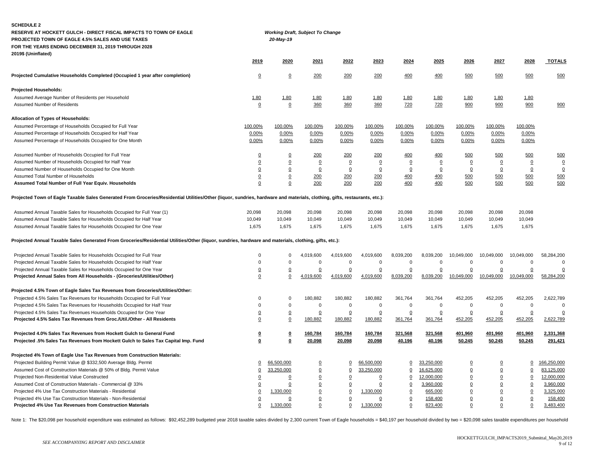| <b>SCHEDULE 2</b><br>RESERVE AT HOCKETT GULCH - DIRECT FISCAL IMPACTS TO TOWN OF EAGLE<br>PROJECTED TOWN OF EAGLE 4.5% SALES AND USE TAXES                                 |                         | 20-May-19               | <b>Working Draft, Subject To Change</b> |                |                |                |                |                 |                |                |               |
|----------------------------------------------------------------------------------------------------------------------------------------------------------------------------|-------------------------|-------------------------|-----------------------------------------|----------------|----------------|----------------|----------------|-----------------|----------------|----------------|---------------|
| FOR THE YEARS ENDING DECEMBER 31, 2019 THROUGH 2028                                                                                                                        |                         |                         |                                         |                |                |                |                |                 |                |                |               |
| 2019\$ (Uninflated)                                                                                                                                                        | 2019                    | 2020                    | 2021                                    | 2022           | 2023           | 2024           | 2025           | 2026            | 2027           | 2028           | <b>TOTALS</b> |
| Projected Cumulative Households Completed (Occupied 1 year after completion)                                                                                               | $\overline{0}$          | $\overline{0}$          | 200                                     | 200            | 200            | 400            | 400            | 500             | 500            | 500            | 500           |
| <b>Projected Households:</b>                                                                                                                                               |                         |                         |                                         |                |                |                |                |                 |                |                |               |
| Assumed Average Number of Residents per Household                                                                                                                          | 1.80                    | 1.80                    | 1.80                                    | 1.80           | 1.80           | 1.80           | 1.80           | 1.80            | 1.80           | 1.80           |               |
| Assumed Number of Residents                                                                                                                                                | $\pmb{0}$               | 0                       | 360                                     | 360            | 360            | 720            | 720            | 900             | 900            | 900            | 900           |
| Allocation of Types of Households:                                                                                                                                         |                         |                         |                                         |                |                |                |                |                 |                |                |               |
| Assumed Percentage of Households Occupied for Full Year                                                                                                                    | 100.00%                 | 100.00%                 | 100.00%                                 | 100.00%        | 100.00%        | 100.00%        | 100.00%        | 100.00%         | 100.00%        | 100.00%        |               |
| Assumed Percentage of Households Occupied for Half Year                                                                                                                    | 0.00%                   | 0.00%                   | 0.00%                                   | 0.00%          | 0.00%          | 0.00%          | 0.00%          | 0.00%           | 0.00%          | 0.00%          |               |
| Assumed Percentage of Households Occupied for One Month                                                                                                                    | 0.00%                   | 0.00%                   | 0.00%                                   | 0.00%          | 0.00%          | 0.00%          | 0.00%          | 0.00%           | 0.00%          | 0.00%          |               |
| Assumed Number of Households Occupied for Full Year                                                                                                                        | $\underline{0}$         | $\overline{0}$          | <u>200</u>                              | 200            | 200            | 400            | 400            | 500             | 500            | 500            | 500           |
| Assumed Number of Households Occupied for Half Year                                                                                                                        | $\overline{0}$          | $\mathbf 0$             | $\Omega$                                | $\Omega$       | $\Omega$       | $\Omega$       | $\mathbf 0$    | $\Omega$        | $\overline{0}$ | $\overline{0}$ | $\Omega$      |
| Assumed Number of Households Occupied for One Month                                                                                                                        | $\pmb{0}$               | 0                       | $\overline{0}$                          | $\overline{0}$ | $\overline{0}$ | $\overline{0}$ | $\overline{0}$ | $\overline{0}$  | 0              | $\overline{0}$ | $\mathsf 0$   |
| Assumed Total Number of Households                                                                                                                                         | $\underline{0}$         | $\overline{0}$          | 200                                     | 200            | 200            | 400            | 400            | 500             | 500            | 500            | 500           |
| Assumed Total Number of Full Year Equiv. Households                                                                                                                        | 0                       | $\mathbf 0$             | 200                                     | 200            | 200            | 400            | 400            | 500             | 500            | 500            | 500           |
| Projected Town of Eagle Taxable Sales Generated From Groceries/Residential Utilities/Other (liquor, sundries, hardware and materials, clothing, gifts, restaurants, etc.): |                         |                         |                                         |                |                |                |                |                 |                |                |               |
| Assumed Annual Taxable Sales for Households Occupied for Full Year (1)                                                                                                     | 20,098                  | 20,098                  | 20,098                                  | 20,098         | 20,098         | 20,098         | 20,098         | 20,098          | 20,098         | 20,098         |               |
| Assumed Annual Taxable Sales for Households Occupied for Half Year                                                                                                         | 10,049                  | 10,049                  | 10,049                                  | 10,049         | 10,049         | 10,049         | 10,049         | 10,049          | 10,049         | 10,049         |               |
| Assumed Annual Taxable Sales for Households Occupied for One Year                                                                                                          | 1,675                   | 1,675                   | 1,675                                   | 1,675          | 1,675          | 1,675          | 1,675          | 1,675           | 1,675          | 1,675          |               |
| Projected Annual Taxable Sales Generated From Groceries/Residential Utilities/Other (liquor, sundries, hardware and materials, clothing, gifts, etc.):                     |                         |                         |                                         |                |                |                |                |                 |                |                |               |
| Projected Annual Taxable Sales for Households Occupied for Full Year                                                                                                       | 0                       | $\mathbf 0$             | 4,019,600                               | 4,019,600      | 4,019,600      | 8,039,200      | 8,039,200      | 10,049,000      | 10,049,000     | 10,049,000     | 58,284,200    |
| Projected Annual Taxable Sales for Households Occupied for Half Year                                                                                                       | $\Omega$                | $\Omega$                | $\mathbf 0$                             | $\mathbf 0$    | $\mathbf 0$    | $\mathbf 0$    | $\mathbf 0$    | $\mathbf 0$     | $\Omega$       | $\overline{0}$ | $\Omega$      |
| Projected Annual Taxable Sales for Households Occupied for One Year                                                                                                        | $\underline{0}$         | $\overline{0}$          | $\mathbf 0$                             | 0              | $\pmb{0}$      | $\Omega$       | $\overline{0}$ | $\overline{0}$  | $\pmb{0}$      | $\Omega$       | $\Omega$      |
| Projected Annual Sales from All Households - (Groceries/Utilities/Other)                                                                                                   | $\mathbf 0$             | $\mathbf 0$             | 4,019,600                               | 4,019,600      | 4,019,600      | 8,039,200      | 8,039,200      | 10,049,000      | 10,049,000     | 10,049,000     | 58,284,200    |
| Projected 4.5% Town of Eagle Sales Tax Revenues from Groceries/Utilities/Other:                                                                                            |                         |                         |                                         |                |                |                |                |                 |                |                |               |
| Projected 4.5% Sales Tax Revenues for Households Occupied for Full Year                                                                                                    | $\mathbf 0$             | $\Omega$                | 180,882                                 | 180,882        | 180,882        | 361,764        | 361,764        | 452,205         | 452,205        | 452,205        | 2,622,789     |
| Projected 4.5% Sales Tax Revenues for Households Occupied for Half Year                                                                                                    | $\Omega$                | $\mathbf 0$             | $\mathbf 0$                             | $\mathbf 0$    | $\mathbf 0$    | $\mathbf 0$    | $\mathbf 0$    | $\mathbf 0$     | $\Omega$       | $\mathbf 0$    | $\Omega$      |
| Projected 4.5% Sales Tax Revenues Households Occupied for One Year                                                                                                         | $\underline{0}$         | $\underline{0}$         | $\Omega$                                | $\overline{0}$ | $\overline{0}$ | $\mathbf 0$    | $\overline{0}$ | $\Omega$        | $\overline{0}$ | $\overline{0}$ |               |
| Projected 4.5% Sales Tax Revenues from Groc./Util./Other - All Residents                                                                                                   | $\overline{0}$          | $\mathbf 0$             | 180,882                                 | 180,882        | 180,882        | 361,764        | 361,764        | 452,205         | 452,205        | 452,205        | 2,622,789     |
| Projected 4.0% Sales Tax Revenues from Hockett Gulch to General Fund                                                                                                       | $\overline{\mathbf{0}}$ | $\pmb{0}$               | 160,784                                 | 160,784        | 160,784        | 321,568        | 321,568        | 401,960         | 401,960        | 401,960        | 2,331,368     |
| Projected .5% Sales Tax Revenues from Hockett Gulch to Sales Tax Capital Imp. Fund                                                                                         | $\overline{\mathbf{0}}$ | $\overline{\mathbf{0}}$ | 20,098                                  | 20,098         | 20,098         | 40,196         | 40,196         | 50,245          | 50,245         | 50,245         | 291,421       |
| Projected 4% Town of Eagle Use Tax Revenues from Construction Materials:                                                                                                   |                         |                         |                                         |                |                |                |                |                 |                |                |               |
| Projected Building Permit Value @ \$332,500 Average Bldg. Permit                                                                                                           | $\overline{0}$          | 66,500,000              | $\overline{0}$                          | $\Omega$       | 66,500,000     | 0              | 33,250,000     | $\Omega$        | $\overline{0}$ | $\Omega$       | 166,250,000   |
| Assumed Cost of Construction Materials @ 50% of Bldg. Permit Value                                                                                                         | $\pmb{0}$               | 33,250,000              | $\overline{0}$                          | 0              | 33,250,000     | 0              | 16,625,000     | $\overline{0}$  | $\overline{0}$ | $\Omega$       | 83,125,000    |
| Projected Non-Residential Value Constructed                                                                                                                                | 0                       | $\mathbf 0$             | $\overline{0}$                          | $\overline{0}$ | $\mathbf 0$    | $\Omega$       | 12,000,000     | $\underline{0}$ | $\mathbf 0$    | $\Omega$       | 12,000,000    |
| Assumed Cost of Construction Materials - Commercial @ 33%                                                                                                                  | $\overline{0}$          | 0                       | $\overline{0}$                          | $\overline{0}$ | 0              | $\Omega$       | 3,960,000      | $\overline{0}$  | $\Omega$       | $\overline{0}$ | 3,960,000     |
| Projected 4% Use Tax Construction Materials - Residential                                                                                                                  | 0                       | 1,330,000               | $\overline{0}$                          | 0              | 1,330,000      | $\Omega$       | 665,000        | 0               | 0              | $\overline{0}$ | 3,325,000     |
| Projected 4% Use Tax Construction Materials - Non-Residential                                                                                                              | $\overline{0}$          |                         | $\overline{0}$                          | $\overline{0}$ | 0              | $\mathbf 0$    | 158,400        | 0               | $\mathbf 0$    | $\Omega$       | 158,400       |
| <b>Projected 4% Use Tax Revenues from Construction Materials</b>                                                                                                           | $\Omega$                | 1.330.000               | $\Omega$                                | $\Omega$       | 1.330.000      | $\mathbf 0$    | 823,400        | $\mathbf 0$     | $\Omega$       | $\mathbf 0$    | 3,483,400     |

Note 1: The \$20,098 per household expenditure was estimated as follows: \$92,452,289 budgeted year 2018 taxable sales divided by 2,300 current Town of Eagle households = \$40,197 per household divided by two = \$20,098 sales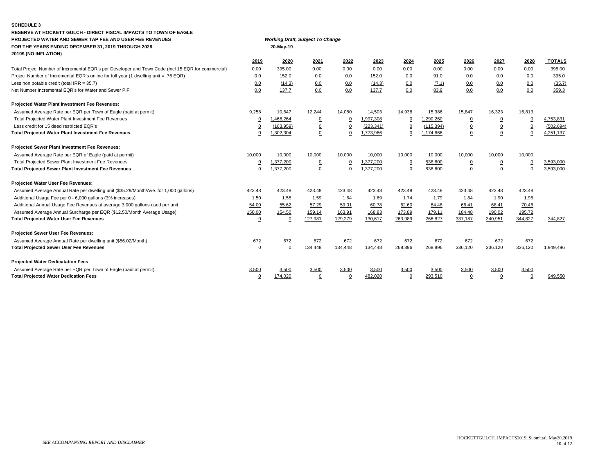### **SCHEDULE 3**

| RESERVE AT HOCKETT GULCH - DIRECT FISCAL IMPACTS TO TOWN OF EAGLE                                  |                |                                         |                |                |            |                |            |                |                |                |               |
|----------------------------------------------------------------------------------------------------|----------------|-----------------------------------------|----------------|----------------|------------|----------------|------------|----------------|----------------|----------------|---------------|
| PROJECTED WATER AND SEWER TAP FEE AND USER FEE REVENUES                                            |                | <b>Working Draft, Subject To Change</b> |                |                |            |                |            |                |                |                |               |
| FOR THE YEARS ENDING DECEMBER 31, 2019 THROUGH 2028                                                |                | 20-May-19                               |                |                |            |                |            |                |                |                |               |
| 2019\$ (NO INFLATION)                                                                              |                |                                         |                |                |            |                |            |                |                |                |               |
|                                                                                                    | 2019           | 2020                                    | 2021           | 2022           | 2023       | 2024           | 2025       | 2026           | 2027           | 2028           | <b>TOTALS</b> |
| Total Projec. Number of Incremental EQR's per Developer and Town Code (incl 15 EQR for commercial) | 0.00           | 395.00                                  | 0.00           | 0.00           | 0.00       | 0.00           | 0.00       | 0.00           | 0.00           | 0.00           | 395.00        |
| Projec. Number of Incremental EQR's online for full year (1 dwelling unit = .76 EQR)               | 0.0            | 152.0                                   | 0.0            | 0.0            | 152.0      | 0.0            | 91.0       | 0.0            | 0.0            | 0.0            | 395.0         |
| Less non potable credit (total $IRR = 35.7$ )                                                      | 0.0            | (14.3)                                  | 0.0            | 0.0            | (14.3)     | 0.0            | (7.1)      | 0.0            | 0.0            | 0.0            | (35.7)        |
| Net Number Incremental EQR's for Water and Sewer PIF                                               | 0.0            | 137.7                                   | 0.0            | 0.0            | 137.7      | 0.0            | 83.9       | 0.0            | 0.0            | 0.0            | 359.3         |
| Projected Water Plant Investment Fee Revenues:                                                     |                |                                         |                |                |            |                |            |                |                |                |               |
| Assumed Average Rate per EQR per Town of Eagle (paid at permit)                                    | 9,258          | 10,647                                  | 12,244         | 14,080         | 14,503     | 14,938         | 15,386     | 15,847         | 16,323         | 16,813         |               |
| Total Projected Water Plant Investment Fee Revenues                                                | $\overline{0}$ | 1,466,264                               | $\overline{0}$ | $\Omega$       | 1,997,308  |                | 1,290,260  | $\overline{0}$ | $\overline{0}$ | $\overline{0}$ | 4,753,831     |
| Less credit for 15 deed restricted EQR's                                                           | $\overline{0}$ | (163, 959)                              | $\overline{0}$ | $\overline{0}$ | (223, 341) | $\Omega$       | (115, 394) | $\overline{0}$ | $\overline{0}$ | $\overline{0}$ | (502, 694)    |
| Total Projected Water Plant Investment Fee Revenues                                                | $\mathbf 0$    | 1,302,304                               | $\Omega$       | 0              | 1,773,966  | $\mathbf 0$    | 1,174,866  | $\overline{0}$ | $\pmb{0}$      | $\mathsf 0$    | 4,251,137     |
| Projected Sewer Plant Investment Fee Revenues:                                                     |                |                                         |                |                |            |                |            |                |                |                |               |
| Assumed Average Rate per EQR of Eagle (paid at permit)                                             | 10,000         | 10,000                                  | 10,000         | 10,000         | 10,000     | 10,000         | 10,000     | 10,000         | 10,000         | 10,000         |               |
| Total Projected Sewer Plant Investment Fee Revenues                                                | $\overline{0}$ | 1,377,200                               | $\overline{0}$ | $\overline{0}$ | 1,377,200  | $\overline{0}$ | 838,600    | 0              | $\overline{0}$ | $\mathbf 0$    | 3,593,000     |
| <b>Total Projected Sewer Plant Investment Fee Revenues</b>                                         | $\mathbf 0$    | 1.377.200                               | $\Omega$       | $\Omega$       | 1.377.200  | 0              | 838,600    | $\overline{0}$ | 0              | $\Omega$       | 3.593.000     |
| Projected Water User Fee Revenues:                                                                 |                |                                         |                |                |            |                |            |                |                |                |               |
| Assumed Average Annual Rate per dwelling unit (\$35.29/Month/Ave. for 1,000 gallons)               | 423.48         | 423.48                                  | 423.48         | 423.48         | 423.48     | 423.48         | 423.48     | 423.48         | 423.48         | 423.48         |               |
| Additional Usage Fee per 0 - 6,000 gallons (3% increases)                                          | 1.50           | 1.55                                    | 1.59           | 1.64           | 1.69       | 1.74           | 1.79       | 1.84           | 1.90           | 1.96           |               |
| Additional Annual Usage Fee Revenues at average 3,000 gallons used per unit                        | 54.00          | 55.62                                   | 57.29          | 59.01          | 60.78      | 62.60          | 64.48      | 66.41          | 68.41          | 70.46          |               |
| Assumed Average Annual Surcharge per EQR (\$12.50/Month Average Usage)                             | 150.00         | 154.50                                  | 159.14         | 163.91         | 168.83     | 173.89         | 179.11     | 184.48         | 190.02         | 195.72         |               |
| <b>Total Projected Water User Fee Revenues</b>                                                     | $\mathbf 0$    |                                         | 127,981        | 129,279        | 130,617    | 263,989        | 266,827    | 337,187        | 340,951        | 344,827        | 344,827       |
| Projected Sewer User Fee Revenues:                                                                 |                |                                         |                |                |            |                |            |                |                |                |               |
| Assumed Average Annual Rate per dwelling unit (\$56.02/Month)                                      | 672            | 672                                     | 672            | 672            | 672        | 672            | 672        | 672            | 672            | 672            |               |
| <b>Total Projected Sewer User Fee Revenues</b>                                                     | $\mathbf 0$    | $\Omega$                                | 134.448        | 134.448        | 134,448    | 268,896        | 268,896    | 336,120        | 336,120        | 336.120        | 1,949,496     |
| <b>Projected Water Dedicatation Fees</b>                                                           |                |                                         |                |                |            |                |            |                |                |                |               |
| Assumed Average Rate per EQR per Town of Eagle (paid at permit)                                    | 3,500          | 3,500                                   | 3,500          | 3,500          | 3,500      | 3,500          | 3,500      | 3,500          | 3,500          | 3,500          |               |
| <b>Total Projected Water Dedication Fees</b>                                                       | $\Omega$       | 174.020                                 | $\Omega$       | $\Omega$       | 482.020    |                | 293.510    | $\Omega$       | $\Omega$       | $\Omega$       | 949,550       |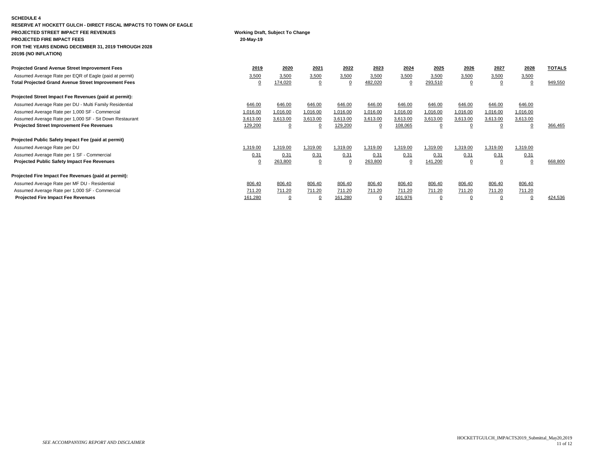| <b>SCHEDULE 4</b>                                                 |                                               |                |                |          |          |          |          |                |                |          |               |  |
|-------------------------------------------------------------------|-----------------------------------------------|----------------|----------------|----------|----------|----------|----------|----------------|----------------|----------|---------------|--|
| RESERVE AT HOCKETT GULCH - DIRECT FISCAL IMPACTS TO TOWN OF EAGLE |                                               |                |                |          |          |          |          |                |                |          |               |  |
| PROJECTED STREET IMPACT FEE REVENUES                              | Working Draft, Subject To Change<br>20-May-19 |                |                |          |          |          |          |                |                |          |               |  |
| <b>PROJECTED FIRE IMPACT FEES</b>                                 |                                               |                |                |          |          |          |          |                |                |          |               |  |
| FOR THE YEARS ENDING DECEMBER 31, 2019 THROUGH 2028               |                                               |                |                |          |          |          |          |                |                |          |               |  |
| 2019\$ (NO INFLATION)                                             |                                               |                |                |          |          |          |          |                |                |          |               |  |
| <b>Projected Grand Avenue Street Improvement Fees</b>             | 2019                                          | 2020           | 2021           | 2022     | 2023     | 2024     | 2025     | 2026           | 2027           | 2028     | <b>TOTALS</b> |  |
| Assumed Average Rate per EQR of Eagle (paid at permit)            | 3,500                                         | 3,500          | 3,500          | 3,500    | 3,500    | 3,500    | 3,500    | 3,500          | 3,500          | 3,500    |               |  |
| <b>Total Projected Grand Avenue Street Improvement Fees</b>       | $\Omega$                                      | 174,020        | $\overline{0}$ | - 0      | 482,020  | $\Omega$ | 293,510  | $\Omega$       | $\overline{0}$ | $\Omega$ | 949,550       |  |
| Projected Street Impact Fee Revenues (paid at permit):            |                                               |                |                |          |          |          |          |                |                |          |               |  |
| Assumed Average Rate per DU - Multi Family Residential            | 646.00                                        | 646.00         | 646.00         | 646.00   | 646.00   | 646.00   | 646.00   | 646.00         | 646.00         | 646.00   |               |  |
| Assumed Average Rate per 1,000 SF - Commercial                    | 1,016.00                                      | 1,016.00       | 1,016.00       | 1,016.00 | 1,016.00 | 1,016.00 | 1,016.00 | 1,016.00       | 1,016.00       | 1,016.00 |               |  |
| Assumed Average Rate per 1,000 SF - Sit Down Restaurant           | 3,613.00                                      | 3,613.00       | 3,613.00       | 3,613.00 | 3,613.00 | 3,613.00 | 3,613.00 | 3,613.00       | 3,613.00       | 3,613.00 |               |  |
| Projected Street Improvement Fee Revenues                         | 129,200                                       | $\overline{0}$ |                | 129,200  | $\Omega$ | 108,065  |          |                |                | $\Omega$ | 366,465       |  |
| Projected Public Safety Impact Fee (paid at permit)               |                                               |                |                |          |          |          |          |                |                |          |               |  |
| Assumed Average Rate per DU                                       | 1,319.00                                      | 1,319.00       | 1,319.00       | 1,319.00 | 1,319.00 | 1,319.00 | 1,319.00 | 1,319.00       | 1,319.00       | 1,319.00 |               |  |
| Assumed Average Rate per 1 SF - Commercial                        | 0.31                                          | 0.31           | 0.31           | 0.31     | 0.31     | 0.31     | 0.31     | 0.31           | 0.31           | 0.31     |               |  |
| <b>Projected Public Safety Impact Fee Revenues</b>                | $\Omega$                                      | 263,800        | $\overline{0}$ | $\Omega$ | 263,800  | 0        | 141,200  | $\overline{0}$ | $\overline{0}$ | $\Omega$ | 668,800       |  |
| Projected Fire Impact Fee Revenues (paid at permit):              |                                               |                |                |          |          |          |          |                |                |          |               |  |
| Assumed Average Rate per MF DU - Residential                      | 806.40                                        | 806.40         | 806.40         | 806.40   | 806.40   | 806.40   | 806.40   | 806.40         | 806.40         | 806.40   |               |  |
| Assumed Average Rate per 1,000 SF - Commercial                    | 711.20                                        | 711.20         | 711.20         | 711.20   | 711.20   | 711.20   | 711.20   | 711.20         | 711.20         | 711.20   |               |  |
| <b>Projected Fire Impact Fee Revenues</b>                         | 161,280                                       | 0              |                | 161,280  | 0        | 101,976  |          |                |                | 0        | 424,536       |  |